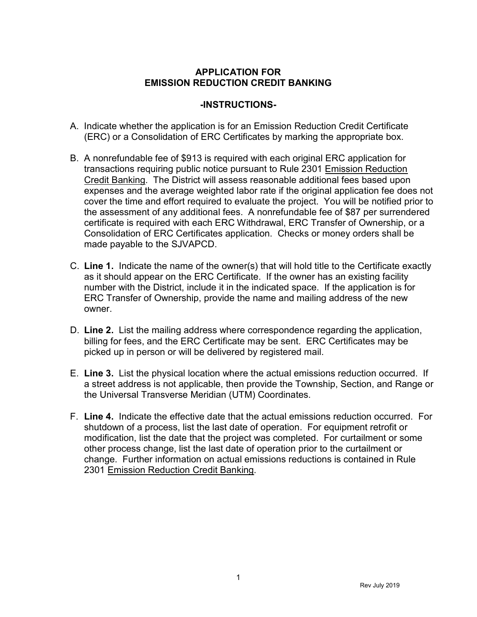## APPLICATION FOR EMISSION REDUCTION CREDIT BANKING

## -INSTRUCTIONS-

- A. Indicate whether the application is for an Emission Reduction Credit Certificate (ERC) or a Consolidation of ERC Certificates by marking the appropriate box.
- B. A nonrefundable fee of \$913 is required with each original ERC application for transactions requiring public notice pursuant to Rule 2301 Emission Reduction Credit Banking. The District will assess reasonable additional fees based upon expenses and the average weighted labor rate if the original application fee does not cover the time and effort required to evaluate the project. You will be notified prior to the assessment of any additional fees. A nonrefundable fee of \$87 per surrendered certificate is required with each ERC Withdrawal, ERC Transfer of Ownership, or a Consolidation of ERC Certificates application. Checks or money orders shall be made payable to the SJVAPCD.
- C. Line 1. Indicate the name of the owner(s) that will hold title to the Certificate exactly as it should appear on the ERC Certificate. If the owner has an existing facility number with the District, include it in the indicated space. If the application is for ERC Transfer of Ownership, provide the name and mailing address of the new owner.
- D. Line 2. List the mailing address where correspondence regarding the application, billing for fees, and the ERC Certificate may be sent. ERC Certificates may be picked up in person or will be delivered by registered mail.
- E. Line 3. List the physical location where the actual emissions reduction occurred. If a street address is not applicable, then provide the Township, Section, and Range or the Universal Transverse Meridian (UTM) Coordinates.
- F. Line 4. Indicate the effective date that the actual emissions reduction occurred. For shutdown of a process, list the last date of operation. For equipment retrofit or modification, list the date that the project was completed. For curtailment or some other process change, list the last date of operation prior to the curtailment or change. Further information on actual emissions reductions is contained in Rule 2301 Emission Reduction Credit Banking.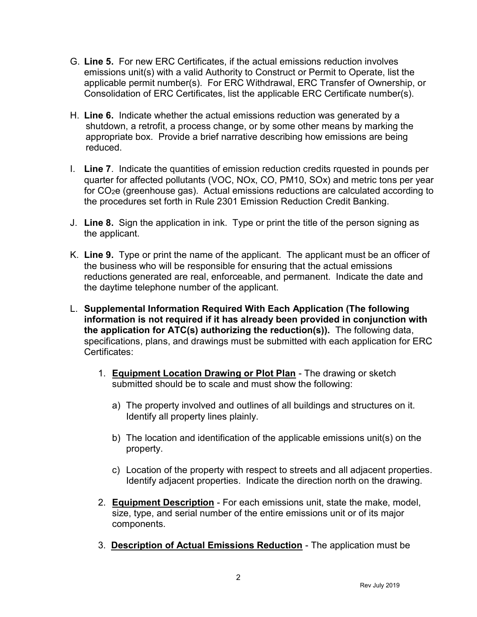- G. Line 5. For new ERC Certificates, if the actual emissions reduction involves emissions unit(s) with a valid Authority to Construct or Permit to Operate, list the applicable permit number(s). For ERC Withdrawal, ERC Transfer of Ownership, or Consolidation of ERC Certificates, list the applicable ERC Certificate number(s).
- H. Line 6. Indicate whether the actual emissions reduction was generated by a shutdown, a retrofit, a process change, or by some other means by marking the appropriate box. Provide a brief narrative describing how emissions are being reduced.
- I. Line 7. Indicate the quantities of emission reduction credits rquested in pounds per quarter for affected pollutants (VOC, NOx, CO, PM10, SOx) and metric tons per year for CO2e (greenhouse gas). Actual emissions reductions are calculated according to the procedures set forth in Rule 2301 Emission Reduction Credit Banking.
- J. Line 8. Sign the application in ink. Type or print the title of the person signing as the applicant.
- K. Line 9. Type or print the name of the applicant. The applicant must be an officer of the business who will be responsible for ensuring that the actual emissions reductions generated are real, enforceable, and permanent. Indicate the date and the daytime telephone number of the applicant.
- L. Supplemental Information Required With Each Application (The following information is not required if it has already been provided in conjunction with the application for ATC(s) authorizing the reduction(s)). The following data, specifications, plans, and drawings must be submitted with each application for ERC Certificates:
	- 1. Equipment Location Drawing or Plot Plan The drawing or sketch submitted should be to scale and must show the following:
		- a) The property involved and outlines of all buildings and structures on it. Identify all property lines plainly.
		- b) The location and identification of the applicable emissions unit(s) on the property.
		- c) Location of the property with respect to streets and all adjacent properties. Identify adjacent properties. Indicate the direction north on the drawing.
	- 2. Equipment Description For each emissions unit, state the make, model, size, type, and serial number of the entire emissions unit or of its major components.
	- 3. Description of Actual Emissions Reduction The application must be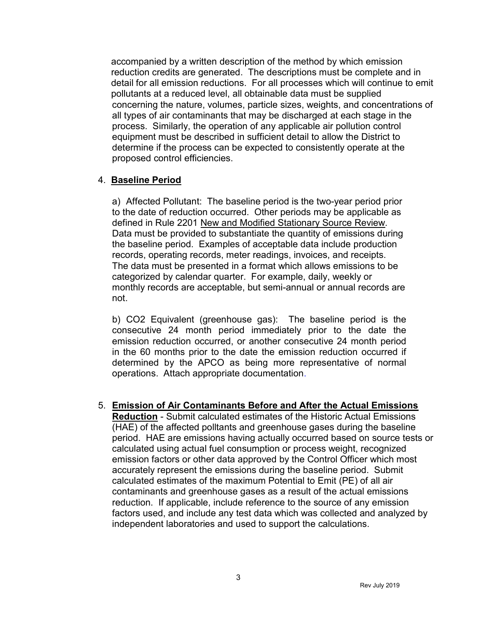accompanied by a written description of the method by which emission reduction credits are generated. The descriptions must be complete and in detail for all emission reductions. For all processes which will continue to emit pollutants at a reduced level, all obtainable data must be supplied concerning the nature, volumes, particle sizes, weights, and concentrations of all types of air contaminants that may be discharged at each stage in the process. Similarly, the operation of any applicable air pollution control equipment must be described in sufficient detail to allow the District to determine if the process can be expected to consistently operate at the proposed control efficiencies.

## 4. Baseline Period

a) Affected Pollutant: The baseline period is the two-year period prior to the date of reduction occurred. Other periods may be applicable as defined in Rule 2201 New and Modified Stationary Source Review. Data must be provided to substantiate the quantity of emissions during the baseline period. Examples of acceptable data include production records, operating records, meter readings, invoices, and receipts. The data must be presented in a format which allows emissions to be categorized by calendar quarter. For example, daily, weekly or monthly records are acceptable, but semi-annual or annual records are not.

b) CO2 Equivalent (greenhouse gas): The baseline period is the consecutive 24 month period immediately prior to the date the emission reduction occurred, or another consecutive 24 month period in the 60 months prior to the date the emission reduction occurred if determined by the APCO as being more representative of normal operations. Attach appropriate documentation.

5. Emission of Air Contaminants Before and After the Actual Emissions Reduction - Submit calculated estimates of the Historic Actual Emissions (HAE) of the affected polltants and greenhouse gases during the baseline period. HAE are emissions having actually occurred based on source tests or calculated using actual fuel consumption or process weight, recognized emission factors or other data approved by the Control Officer which most accurately represent the emissions during the baseline period. Submit calculated estimates of the maximum Potential to Emit (PE) of all air contaminants and greenhouse gases as a result of the actual emissions reduction. If applicable, include reference to the source of any emission factors used, and include any test data which was collected and analyzed by

independent laboratories and used to support the calculations.